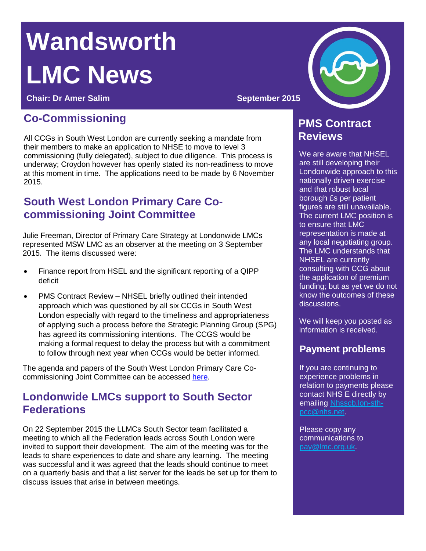# **Wandsworth LMC News**

**Chair:** Dr Amer Salim **September 2015** 

# **Co-Commissioning**

All CCGs in South West London are currently seeking a mandate from their members to make an application to NHSE to move to level 3 commissioning (fully delegated), subject to due diligence. This process is underway; Croydon however has openly stated its non-readiness to move at this moment in time. The applications need to be made by 6 November 2015.

### **South West London Primary Care Cocommissioning Joint Committee**

Julie Freeman, Director of Primary Care Strategy at Londonwide LMCs represented MSW LMC as an observer at the meeting on 3 September 2015. The items discussed were:

- Finance report from HSEL and the significant reporting of a QIPP deficit
- PMS Contract Review NHSEL briefly outlined their intended approach which was questioned by all six CCGs in South West London especially with regard to the timeliness and appropriateness of applying such a process before the Strategic Planning Group (SPG) has agreed its commissioning intentions. The CCGS would be making a formal request to delay the process but with a commitment to follow through next year when CCGs would be better informed.

The agenda and papers of the South West London Primary Care Cocommissioning Joint Committee can be accessed [here.](http://www.wandsworthccg.nhs.uk/aboutus/Our-Plans/Pages/South-West-London-Collaborative-Commissioning.aspx)

#### **Londonwide LMCs support to South Sector Federations**

On 22 September 2015 the LLMCs South Sector team facilitated a meeting to which all the Federation leads across South London were invited to support their development. The aim of the meeting was for the leads to share experiences to date and share any learning. The meeting was successful and it was agreed that the leads should continue to meet on a quarterly basis and that a list server for the leads be set up for them to discuss issues that arise in between meetings.



## **PMS Contract Reviews**

We are aware that NHSEL are still developing their Londonwide approach to this nationally driven exercise and that robust local borough £s per patient figures are still unavailable. The current LMC position is to ensure that LMC representation is made at any local negotiating group. The LMC understands that NHSEL are currently consulting with CCG about the application of premium funding; but as yet we do not know the outcomes of these discussions.

We will keep you posted as information is received.

#### **Payment problems**

If you are continuing to experience problems in relation to payments please contact NHS E directly by emailing [Nhsscb.lon-sth](mailto:Nhsscb.lon-sth-pcc@nhs.net)[pcc@nhs.net.](mailto:Nhsscb.lon-sth-pcc@nhs.net)

Please copy any communications to [pay@lmc.org.uk.](mailto:pay@lmc.org.uk)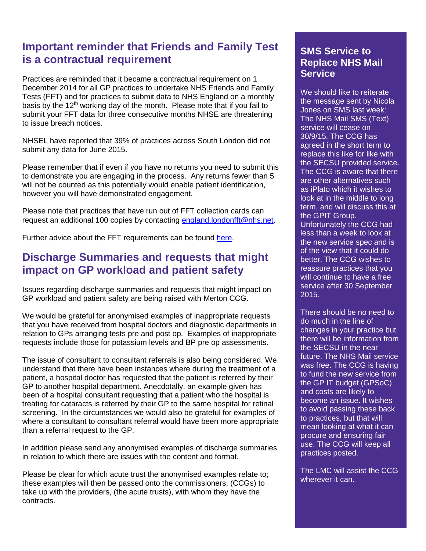## **Important reminder that Friends and Family Test is a contractual requirement**

Practices are reminded that it became a contractual requirement on 1 December 2014 for all GP practices to undertake NHS Friends and Family Tests (FFT) and for practices to submit data to NHS England on a monthly basis by the  $12<sup>th</sup>$  working day of the month. Please note that if you fail to submit your FFT data for three consecutive months NHSE are threatening to issue breach notices.

NHSEL have reported that 39% of practices across South London did not submit any data for June 2015.

Please remember that if even if you have no returns you need to submit this to demonstrate you are engaging in the process. Any returns fewer than 5 will not be counted as this potentially would enable patient identification, however you will have demonstrated engagement.

Please note that practices that have run out of FFT collection cards can request an additional 100 copies by contacting [england.londonfft@nhs.net.](mailto:england.londonfft@nhs.net)

Further advice about the FFT requirements can be found [here.](http://www.lmc.org.uk/article.php?group_id=13615)

#### **Discharge Summaries and requests that might impact on GP workload and patient safety**

Issues regarding discharge summaries and requests that might impact on GP workload and patient safety are being raised with Merton CCG.

We would be grateful for anonymised examples of inappropriate requests that you have received from hospital doctors and diagnostic departments in relation to GPs arranging tests pre and post op. Examples of inappropriate requests include those for potassium levels and BP pre op assessments.

The issue of consultant to consultant referrals is also being considered. We understand that there have been instances where during the treatment of a patient, a hospital doctor has requested that the patient is referred by their GP to another hospital department. Anecdotally, an example given has been of a hospital consultant requesting that a patient who the hospital is treating for cataracts is referred by their GP to the same hospital for retinal screening. In the circumstances we would also be grateful for examples of where a consultant to consultant referral would have been more appropriate than a referral request to the GP.

In addition please send any anonymised examples of discharge summaries in relation to which there are issues with the content and format.

Please be clear for which acute trust the anonymised examples relate to; these examples will then be passed onto the commissioners, (CCGs) to take up with the providers, (the acute trusts), with whom they have the contracts.

#### **SMS Service to Replace NHS Mail Service**

We should like to reiterate the message sent by Nicola Jones on SMS last week: The NHS Mail SMS (Text) service will cease on 30/9/15. The CCG has agreed in the short term to replace this like for like with the SECSU provided service. The CCG is aware that there are other alternatives such as iPlato which it wishes to look at in the middle to long term, and will discuss this at the GPIT Group. Unfortunately the CCG had less than a week to look at the new service spec and is of the view that it could do better. The CCG wishes to reassure practices that you will continue to have a free service after 30 September 2015.

There should be no need to do much in the line of changes in your practice but there will be information from the SECSU in the near future. The NHS Mail service was free. The CCG is having to fund the new service from the GP IT budget (GPSoC) and costs are likely to become an issue. It wishes to avoid passing these back to practices, but that will mean looking at what it can procure and ensuring fair use. The CCG will keep all practices posted.

The LMC will assist the CCG wherever it can.